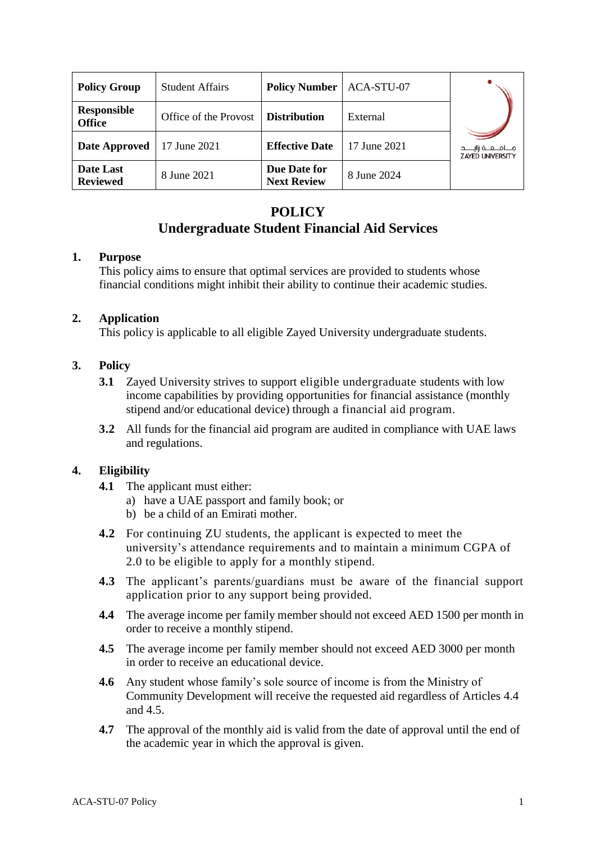| <b>Policy Group</b>          | <b>Student Affairs</b> | <b>Policy Number</b>               | ACA-STU-07   |                                             |
|------------------------------|------------------------|------------------------------------|--------------|---------------------------------------------|
| Responsible<br><b>Office</b> | Office of the Provost  | <b>Distribution</b>                | External     |                                             |
| Date Approved                | 17 June 2021           | <b>Effective Date</b>              | 17 June 2021 | مـــام مــة زانـ<br><b>ZAYED UNIVERSITY</b> |
| Date Last<br><b>Reviewed</b> | 8 June 2021            | Due Date for<br><b>Next Review</b> | 8 June 2024  |                                             |

# **POLICY Undergraduate Student Financial Aid Services**

## **1. Purpose**

This policy aims to ensure that optimal services are provided to students whose financial conditions might inhibit their ability to continue their academic studies.

## **2. Application**

This policy is applicable to all eligible Zayed University undergraduate students.

# **3. Policy**

- **3.1** Zayed University strives to support eligible undergraduate students with low income capabilities by providing opportunities for financial assistance (monthly stipend and/or educational device) through a financial aid program.
- **3.2** All funds for the financial aid program are audited in compliance with UAE laws and regulations.

# **4. Eligibility**

- **4.1** The applicant must either:
	- a) have a UAE passport and family book; or
	- b) be a child of an Emirati mother.
- **4.2** For continuing ZU students, the applicant is expected to meet the university's attendance requirements and to maintain a minimum CGPA of 2.0 to be eligible to apply for a monthly stipend.
- **4.3** The applicant's parents/guardians must be aware of the financial support application prior to any support being provided.
- **4.4** The average income per family member should not exceed AED 1500 per month in order to receive a monthly stipend.
- **4.5** The average income per family member should not exceed AED 3000 per month in order to receive an educational device.
- **4.6** Any student whose family's sole source of income is from the Ministry of Community Development will receive the requested aid regardless of Articles 4.4 and 4.5.
- **4.7** The approval of the monthly aid is valid from the date of approval until the end of the academic year in which the approval is given.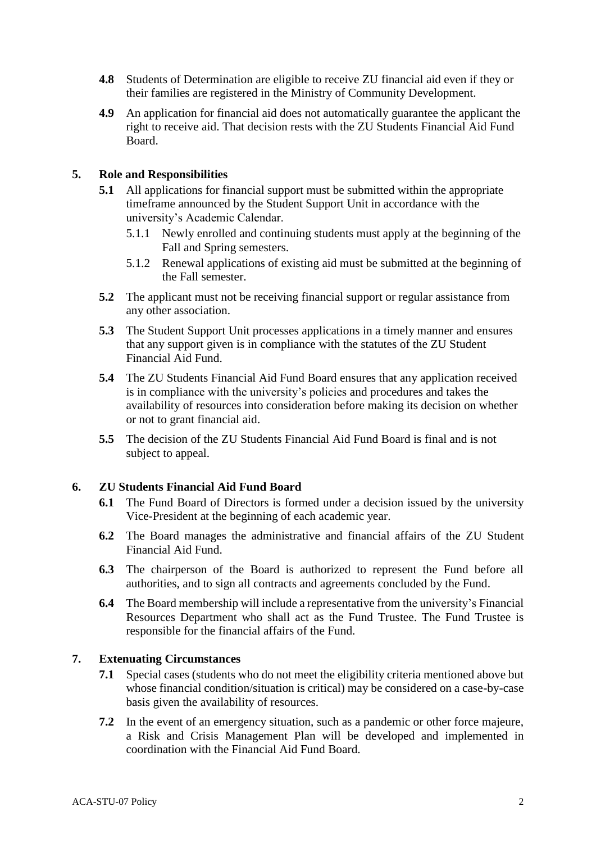- **4.8** Students of Determination are eligible to receive ZU financial aid even if they or their families are registered in the Ministry of Community Development.
- **4.9** An application for financial aid does not automatically guarantee the applicant the right to receive aid. That decision rests with the ZU Students Financial Aid Fund Board.

## **5. Role and Responsibilities**

- **5.1** All applications for financial support must be submitted within the appropriate timeframe announced by the Student Support Unit in accordance with the university's Academic Calendar.
	- 5.1.1 Newly enrolled and continuing students must apply at the beginning of the Fall and Spring semesters.
	- 5.1.2 Renewal applications of existing aid must be submitted at the beginning of the Fall semester.
- **5.2** The applicant must not be receiving financial support or regular assistance from any other association.
- **5.3** The Student Support Unit processes applications in a timely manner and ensures that any support given is in compliance with the statutes of the ZU Student Financial Aid Fund.
- **5.4** The ZU Students Financial Aid Fund Board ensures that any application received is in compliance with the university's policies and procedures and takes the availability of resources into consideration before making its decision on whether or not to grant financial aid.
- **5.5** The decision of the ZU Students Financial Aid Fund Board is final and is not subject to appeal.

#### **6. ZU Students Financial Aid Fund Board**

- **6.1** The Fund Board of Directors is formed under a decision issued by the university Vice-President at the beginning of each academic year.
- **6.2** The Board manages the administrative and financial affairs of the ZU Student Financial Aid Fund.
- **6.3** The chairperson of the Board is authorized to represent the Fund before all authorities, and to sign all contracts and agreements concluded by the Fund.
- **6.4** The Board membership will include a representative from the university's Financial Resources Department who shall act as the Fund Trustee. The Fund Trustee is responsible for the financial affairs of the Fund.

# **7. Extenuating Circumstances**

- **7.1** Special cases (students who do not meet the eligibility criteria mentioned above but whose financial condition/situation is critical) may be considered on a case-by-case basis given the availability of resources.
- **7.2** In the event of an emergency situation, such as a pandemic or other force majeure, a Risk and Crisis Management Plan will be developed and implemented in coordination with the Financial Aid Fund Board.